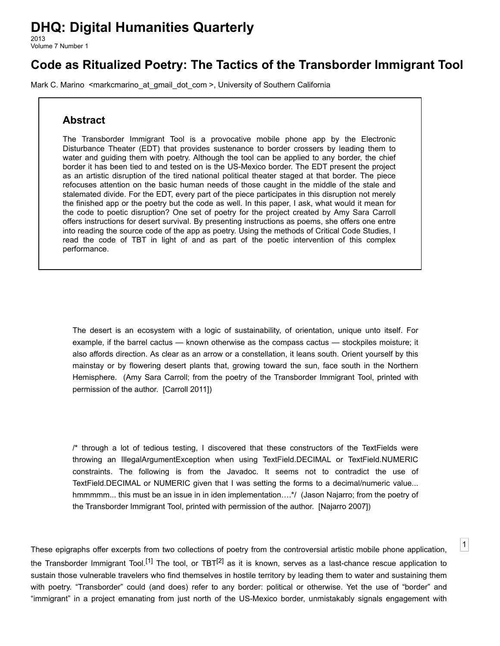# **DHQ: Digital Humanities Quarterly**

2013 Volume 7 Number 1

# **Code as Ritualized Poetry: The Tactics of the Transborder Immigrant Tool**

[Mark C. Marino](http://www.digitalhumanities.org/dhq/vol/7/1/bios.html#marino_mark_c.) [<markcmarino\\_at\\_gmail\\_dot\\_com](mailto:markcmarino_at_gmail_dot_com) >, University of Southern California

# **Abstract**

The Transborder Immigrant Tool is a provocative mobile phone app by the Electronic Disturbance Theater (EDT) that provides sustenance to border crossers by leading them to water and guiding them with poetry. Although the tool can be applied to any border, the chief border it has been tied to and tested on is the US-Mexico border. The EDT present the project as an artistic disruption of the tired national political theater staged at that border. The piece refocuses attention on the basic human needs of those caught in the middle of the stale and stalemated divide. For the EDT, every part of the piece participates in this disruption not merely the finished app or the poetry but the code as well. In this paper, I ask, what would it mean for the code to poetic disruption? One set of poetry for the project created by Amy Sara Carroll offers instructions for desert survival. By presenting instructions as poems, she offers one entre into reading the source code of the app as poetry. Using the methods of Critical Code Studies, I read the code of TBT in light of and as part of the poetic intervention of this complex performance.

The desert is an ecosystem with a logic of sustainability, of orientation, unique unto itself. For example, if the barrel cactus — known otherwise as the compass cactus — stockpiles moisture; it also affords direction. As clear as an arrow or a constellation, it leans south. Orient yourself by this mainstay or by flowering desert plants that, growing toward the sun, face south in the Northern Hemisphere. (Amy Sara Carroll; from the poetry of the Transborder Immigrant Tool, printed with permission of the author. [\[Carroll 2011\]](#page-14-0))

/\* through a lot of tedious testing, I discovered that these constructors of the TextFields were throwing an IllegalArgumentException when using TextField.DECIMAL or TextField.NUMERIC constraints. The following is from the Javadoc. It seems not to contradict the use of TextField.DECIMAL or NUMERIC given that I was setting the forms to a decimal/numeric value... hmmmmm... this must be an issue in in iden implementation...\*/ (Jason Najarro; from the poetry of the Transborder Immigrant Tool, printed with permission of the author. [[Najarro 2007](#page-14-1)])

[1](#page-0-0)

<span id="page-0-0"></span>These epigraphs offer excerpts from two collections of poetry from the controversial artistic mobile phone application, the Transborder Immigrant Tool.<sup>[1]</sup> The tool, or TBT<sup>[2]</sup> as it is known, serves as a last-chance rescue application to sustain those vulnerable travelers who find themselves in hostile territory by leading them to water and sustaining them with poetry. "Transborder" could (and does) refer to any border: political or otherwise. Yet the use of "border" and "immigrant" in a project emanating from just north of the US-Mexico border, unmistakably signals engagement with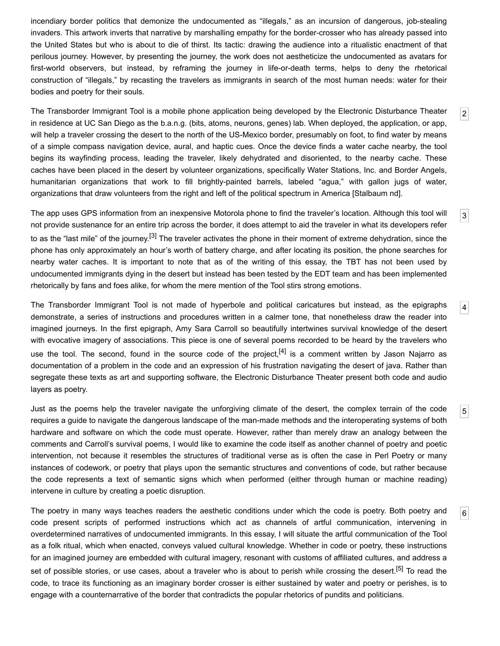incendiary border politics that demonize the undocumented as "illegals," as an incursion of dangerous, job-stealing invaders. This artwork inverts that narrative by marshalling empathy for the border-crosser who has already passed into the United States but who is about to die of thirst. Its tactic: drawing the audience into a ritualistic enactment of that perilous journey. However, by presenting the journey, the work does not aestheticize the undocumented as avatars for first-world observers, but instead, by reframing the journey in life-or-death terms, helps to deny the rhetorical construction of "illegals," by recasting the travelers as immigrants in search of the most human needs: water for their bodies and poetry for their souls.

<span id="page-1-0"></span>The Transborder Immigrant Tool is a mobile phone application being developed by the Electronic Disturbance Theater in residence at UC San Diego as the b.a.n.g. (bits, atoms, neurons, genes) lab. When deployed, the application, or app, will help a traveler crossing the desert to the north of the US-Mexico border, presumably on foot, to find water by means of a simple compass navigation device, aural, and haptic cues. Once the device finds a water cache nearby, the tool begins its wayfinding process, leading the traveler, likely dehydrated and disoriented, to the nearby cache. These caches have been placed in the desert by volunteer organizations, specifically Water Stations, Inc. and Border Angels, humanitarian organizations that work to fill brightly-painted barrels, labeled "agua," with gallon jugs of water, organizations that draw volunteers from the right and left of the political spectrum in America [\[Stalbaum nd](#page-14-2)].

[2](#page-1-0)

[3](#page-1-1)

[4](#page-1-2)

[5](#page-1-3)

[6](#page-1-4)

<span id="page-1-1"></span>The app uses GPS information from an inexpensive Motorola phone to find the traveler's location. Although this tool will not provide sustenance for an entire trip across the border, it does attempt to aid the traveler in what its developers refer to as the "last mile" of the journey.<sup>[\[3\]](#page-13-2)</sup> The traveler activates the phone in their moment of extreme dehydration, since the phone has only approximately an hour's worth of battery charge, and after locating its position, the phone searches for nearby water caches. It is important to note that as of the writing of this essay, the TBT has not been used by undocumented immigrants dying in the desert but instead has been tested by the EDT team and has been implemented rhetorically by fans and foes alike, for whom the mere mention of the Tool stirs strong emotions.

<span id="page-1-2"></span>The Transborder Immigrant Tool is not made of hyperbole and political caricatures but instead, as the epigraphs demonstrate, a series of instructions and procedures written in a calmer tone, that nonetheless draw the reader into imagined journeys. In the first epigraph, Amy Sara Carroll so beautifully intertwines survival knowledge of the desert with evocative imagery of associations. This piece is one of several poems recorded to be heard by the travelers who use the tool. The second, found in the source code of the project,<sup>[\[4\]](#page-13-3)</sup> is a comment written by Jason Najarro as documentation of a problem in the code and an expression of his frustration navigating the desert of java. Rather than segregate these texts as art and supporting software, the Electronic Disturbance Theater present both code and audio layers as poetry.

<span id="page-1-3"></span>Just as the poems help the traveler navigate the unforgiving climate of the desert, the complex terrain of the code requires a guide to navigate the dangerous landscape of the man-made methods and the interoperating systems of both hardware and software on which the code must operate. However, rather than merely draw an analogy between the comments and Carroll's survival poems, I would like to examine the code itself as another channel of poetry and poetic intervention, not because it resembles the structures of traditional verse as is often the case in Perl Poetry or many instances of codework, or poetry that plays upon the semantic structures and conventions of code, but rather because the code represents a text of semantic signs which when performed (either through human or machine reading) intervene in culture by creating a poetic disruption.

<span id="page-1-4"></span>The poetry in many ways teaches readers the aesthetic conditions under which the code is poetry. Both poetry and code present scripts of performed instructions which act as channels of artful communication, intervening in overdetermined narratives of undocumented immigrants. In this essay, I will situate the artful communication of the Tool as a folk ritual, which when enacted, conveys valued cultural knowledge. Whether in code or poetry, these instructions for an imagined journey are embedded with cultural imagery, resonant with customs of affiliated cultures, and address a set of possible stories, or use cases, about a traveler who is about to perish while crossing the desert.<sup>[5]</sup> To read the code, to trace its functioning as an imaginary border crosser is either sustained by water and poetry or perishes, is to engage with a counternarrative of the border that contradicts the popular rhetorics of pundits and politicians.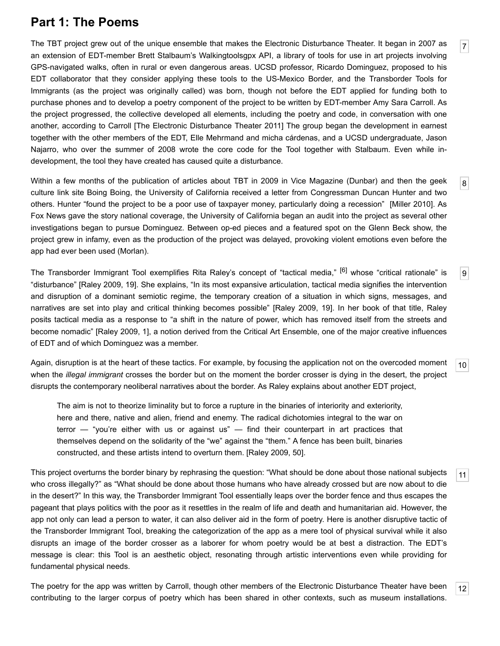# **Part 1: The Poems**

<span id="page-2-0"></span>The TBT project grew out of the unique ensemble that makes the Electronic Disturbance Theater. It began in 2007 as an extension of EDT-member Brett Stalbaum's Walkingtoolsgpx API, a library of tools for use in art projects involving GPS-navigated walks, often in rural or even dangerous areas. UCSD professor, Ricardo Dominguez, proposed to his EDT collaborator that they consider applying these tools to the US-Mexico Border, and the Transborder Tools for Immigrants (as the project was originally called) was born, though not before the EDT applied for funding both to purchase phones and to develop a poetry component of the project to be written by EDT-member Amy Sara Carroll. As the project progressed, the collective developed all elements, including the poetry and code, in conversation with one another, according to Carroll [\[The Electronic Disturbance Theater 2011\]](#page-14-3) The group began the development in earnest together with the other members of the EDT, Elle Mehrmand and micha cárdenas, and a UCSD undergraduate, Jason Najarro, who over the summer of 2008 wrote the core code for the Tool together with Stalbaum. Even while indevelopment, the tool they have created has caused quite a disturbance.

[7](#page-2-0)

[8](#page-2-1)

[9](#page-2-2)

[11](#page-2-4)

[12](#page-2-5)

<span id="page-2-1"></span>Within a few months of the publication of articles about TBT in 2009 in Vice Magazine (Dunbar) and then the geek culture link site Boing Boing, the University of California received a letter from Congressman Duncan Hunter and two others. Hunter "found the project to be a poor use of taxpayer money, particularly doing a recession" [\[Miller 2010\]](#page-14-4). As Fox News gave the story national coverage, the University of California began an audit into the project as several other investigations began to pursue Dominguez. Between op-ed pieces and a featured spot on the Glenn Beck show, the project grew in infamy, even as the production of the project was delayed, provoking violent emotions even before the app had ever been used (Morlan).

<span id="page-2-2"></span>The Transborder Immigrant Tool exemplifies Rita Raley's concept of "tactical media," [\[6\]](#page-13-5) whose "critical rationale" is "disturbance" [\[Raley 2009](#page-14-5), 19]. She explains, "In its most expansive articulation, tactical media signifies the intervention and disruption of a dominant semiotic regime, the temporary creation of a situation in which signs, messages, and narratives are set into play and critical thinking becomes possible" [\[Raley 2009](#page-14-5), 19]. In her book of that title, Raley posits tactical media as a response to "a shift in the nature of power, which has removed itself from the streets and become nomadic" [[Raley 2009,](#page-14-5) 1], a notion derived from the Critical Art Ensemble, one of the major creative influences of EDT and of which Dominguez was a member.

<span id="page-2-3"></span>[10](#page-2-3) Again, disruption is at the heart of these tactics. For example, by focusing the application not on the overcoded moment when the *illegal immigrant* crosses the border but on the moment the border crosser is dying in the desert, the project disrupts the contemporary neoliberal narratives about the border. As Raley explains about another EDT project,

The aim is not to theorize liminality but to force a rupture in the binaries of interiority and exteriority, here and there, native and alien, friend and enemy. The radical dichotomies integral to the war on terror — "you're either with us or against us" — find their counterpart in art practices that themselves depend on the solidarity of the "we" against the "them." A fence has been built, binaries constructed, and these artists intend to overturn them. [[Raley 2009](#page-14-5), 50].

<span id="page-2-4"></span>This project overturns the border binary by rephrasing the question: "What should be done about those national subjects who cross illegally?" as "What should be done about those humans who have already crossed but are now about to die in the desert?" In this way, the Transborder Immigrant Tool essentially leaps over the border fence and thus escapes the pageant that plays politics with the poor as it resettles in the realm of life and death and humanitarian aid. However, the app not only can lead a person to water, it can also deliver aid in the form of poetry. Here is another disruptive tactic of the Transborder Immigrant Tool, breaking the categorization of the app as a mere tool of physical survival while it also disrupts an image of the border crosser as a laborer for whom poetry would be at best a distraction. The EDT's message is clear: this Tool is an aesthetic object, resonating through artistic interventions even while providing for fundamental physical needs.

<span id="page-2-5"></span>The poetry for the app was written by Carroll, though other members of the Electronic Disturbance Theater have been contributing to the larger corpus of poetry which has been shared in other contexts, such as museum installations.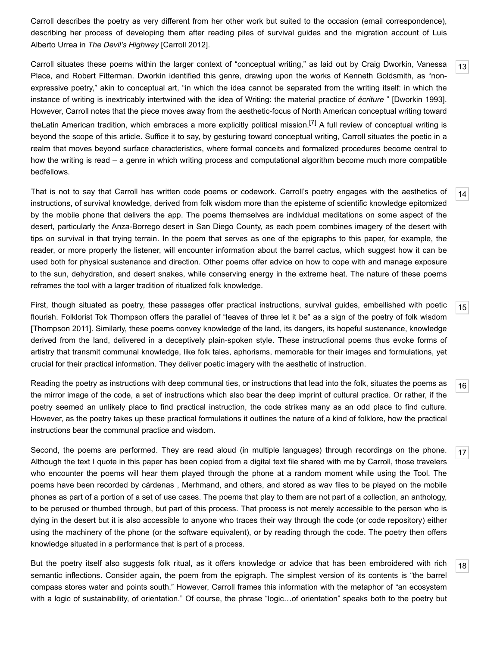Carroll describes the poetry as very different from her other work but suited to the occasion (email correspondence), describing her process of developing them after reading piles of survival guides and the migration account of Luis Alberto Urrea in *The Devil's Highway* [[Carroll 2012](#page-14-6)].

<span id="page-3-0"></span>Carroll situates these poems within the larger context of "conceptual writing," as laid out by Craig Dworkin, Vanessa Place, and Robert Fitterman. Dworkin identified this genre, drawing upon the works of Kenneth Goldsmith, as "nonexpressive poetry," akin to conceptual art, "in which the idea cannot be separated from the writing itself: in which the instance of writing is inextricably intertwined with the idea of Writing: the material practice of *écriture* " [[Dworkin 1993](#page-14-7)]. However, Carroll notes that the piece moves away from the aesthetic-focus of North American conceptual writing toward theLatin American tradition, which embraces a more explicitly political mission.[\[7\]](#page-13-6) A full review of conceptual writing is beyond the scope of this article. Suffice it to say, by gesturing toward conceptual writing, Carroll situates the poetic in a realm that moves beyond surface characteristics, where formal conceits and formalized procedures become central to how the writing is read – a genre in which writing process and computational algorithm become much more compatible bedfellows.

<span id="page-3-1"></span>[14](#page-3-1) That is not to say that Carroll has written code poems or codework. Carroll's poetry engages with the aesthetics of instructions, of survival knowledge, derived from folk wisdom more than the episteme of scientific knowledge epitomized by the mobile phone that delivers the app. The poems themselves are individual meditations on some aspect of the desert, particularly the Anza-Borrego desert in San Diego County, as each poem combines imagery of the desert with tips on survival in that trying terrain. In the poem that serves as one of the epigraphs to this paper, for example, the reader, or more properly the listener, will encounter information about the barrel cactus, which suggest how it can be used both for physical sustenance and direction. Other poems offer advice on how to cope with and manage exposure to the sun, dehydration, and desert snakes, while conserving energy in the extreme heat. The nature of these poems reframes the tool with a larger tradition of ritualized folk knowledge.

<span id="page-3-2"></span>First, though situated as poetry, these passages offer practical instructions, survival guides, embellished with poetic flourish. Folklorist Tok Thompson offers the parallel of "leaves of three let it be" as a sign of the poetry of folk wisdom [\[Thompson 2011](#page-14-8)]. Similarly, these poems convey knowledge of the land, its dangers, its hopeful sustenance, knowledge derived from the land, delivered in a deceptively plain-spoken style. These instructional poems thus evoke forms of artistry that transmit communal knowledge, like folk tales, aphorisms, memorable for their images and formulations, yet crucial for their practical information. They deliver poetic imagery with the aesthetic of instruction.

<span id="page-3-3"></span>[16](#page-3-3) Reading the poetry as instructions with deep communal ties, or instructions that lead into the folk, situates the poems as the mirror image of the code, a set of instructions which also bear the deep imprint of cultural practice. Or rather, if the poetry seemed an unlikely place to find practical instruction, the code strikes many as an odd place to find culture. However, as the poetry takes up these practical formulations it outlines the nature of a kind of folklore, how the practical instructions bear the communal practice and wisdom.

<span id="page-3-4"></span>Second, the poems are performed. They are read aloud (in multiple languages) through recordings on the phone. Although the text I quote in this paper has been copied from a digital text file shared with me by Carroll, those travelers who encounter the poems will hear them played through the phone at a random moment while using the Tool. The poems have been recorded by cárdenas , Merhmand, and others, and stored as wav files to be played on the mobile phones as part of a portion of a set of use cases. The poems that play to them are not part of a collection, an anthology, to be perused or thumbed through, but part of this process. That process is not merely accessible to the person who is dying in the desert but it is also accessible to anyone who traces their way through the code (or code repository) either using the machinery of the phone (or the software equivalent), or by reading through the code. The poetry then offers knowledge situated in a performance that is part of a process.

<span id="page-3-5"></span>But the poetry itself also suggests folk ritual, as it offers knowledge or advice that has been embroidered with rich semantic inflections. Consider again, the poem from the epigraph. The simplest version of its contents is "the barrel compass stores water and points south." However, Carroll frames this information with the metaphor of "an ecosystem with a logic of sustainability, of orientation." Of course, the phrase "logic…of orientation" speaks both to the poetry but

[15](#page-3-2)

[17](#page-3-4)

[18](#page-3-5)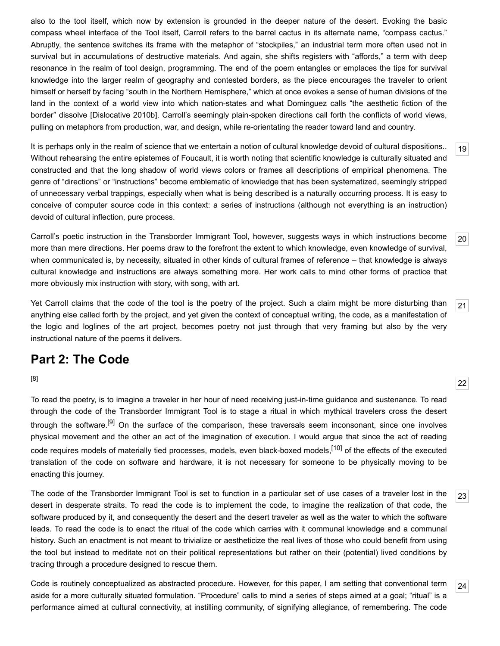also to the tool itself, which now by extension is grounded in the deeper nature of the desert. Evoking the basic compass wheel interface of the Tool itself, Carroll refers to the barrel cactus in its alternate name, "compass cactus." Abruptly, the sentence switches its frame with the metaphor of "stockpiles," an industrial term more often used not in survival but in accumulations of destructive materials. And again, she shifts registers with "affords," a term with deep resonance in the realm of tool design, programming. The end of the poem entangles or emplaces the tips for survival knowledge into the larger realm of geography and contested borders, as the piece encourages the traveler to orient himself or herself by facing "south in the Northern Hemisphere," which at once evokes a sense of human divisions of the land in the context of a world view into which nation-states and what Dominguez calls "the aesthetic fiction of the border" dissolve [\[Dislocative 2010b\]](#page-14-9). Carroll's seemingly plain-spoken directions call forth the conflicts of world views, pulling on metaphors from production, war, and design, while re-orientating the reader toward land and country.

<span id="page-4-0"></span>It is perhaps only in the realm of science that we entertain a notion of cultural knowledge devoid of cultural dispositions.. Without rehearsing the entire epistemes of Foucault, it is worth noting that scientific knowledge is culturally situated and constructed and that the long shadow of world views colors or frames all descriptions of empirical phenomena. The genre of "directions" or "instructions" become emblematic of knowledge that has been systematized, seemingly stripped of unnecessary verbal trappings, especially when what is being described is a naturally occurring process. It is easy to conceive of computer source code in this context: a series of instructions (although not everything is an instruction) devoid of cultural inflection, pure process.

<span id="page-4-1"></span>Carroll's poetic instruction in the Transborder Immigrant Tool, however, suggests ways in which instructions become more than mere directions. Her poems draw to the forefront the extent to which knowledge, even knowledge of survival, when communicated is, by necessity, situated in other kinds of cultural frames of reference – that knowledge is always cultural knowledge and instructions are always something more. Her work calls to mind other forms of practice that more obviously mix instruction with story, with song, with art.

<span id="page-4-2"></span>Yet Carroll claims that the code of the tool is the poetry of the project. Such a claim might be more disturbing than anything else called forth by the project, and yet given the context of conceptual writing, the code, as a manifestation of the logic and loglines of the art project, becomes poetry not just through that very framing but also by the very instructional nature of the poems it delivers.

# **Part 2: The Code**

#### [\[8\]](#page-13-7)

<span id="page-4-3"></span>To read the poetry, is to imagine a traveler in her hour of need receiving just-in-time guidance and sustenance. To read through the code of the Transborder Immigrant Tool is to stage a ritual in which mythical travelers cross the desert through the software.<sup>[\[9\]](#page-13-8)</sup> On the surface of the comparison, these traversals seem inconsonant, since one involves physical movement and the other an act of the imagination of execution. I would argue that since the act of reading code requires models of materially tied processes, models, even black-boxed models.<sup>[\[10\]](#page-13-9)</sup> of the effects of the executed translation of the code on software and hardware, it is not necessary for someone to be physically moving to be enacting this journey.

<span id="page-4-4"></span>The code of the Transborder Immigrant Tool is set to function in a particular set of use cases of a traveler lost in the desert in desperate straits. To read the code is to implement the code, to imagine the realization of that code, the software produced by it, and consequently the desert and the desert traveler as well as the water to which the software leads. To read the code is to enact the ritual of the code which carries with it communal knowledge and a communal history. Such an enactment is not meant to trivialize or aestheticize the real lives of those who could benefit from using the tool but instead to meditate not on their political representations but rather on their (potential) lived conditions by tracing through a procedure designed to rescue them.

<span id="page-4-5"></span>[24](#page-4-5) Code is routinely conceptualized as abstracted procedure. However, for this paper, I am setting that conventional term aside for a more culturally situated formulation. "Procedure" calls to mind a series of steps aimed at a goal; "ritual" is a performance aimed at cultural connectivity, at instilling community, of signifying allegiance, of remembering. The code

[22](#page-4-3)

[23](#page-4-4)

[19](#page-4-0)

[20](#page-4-1)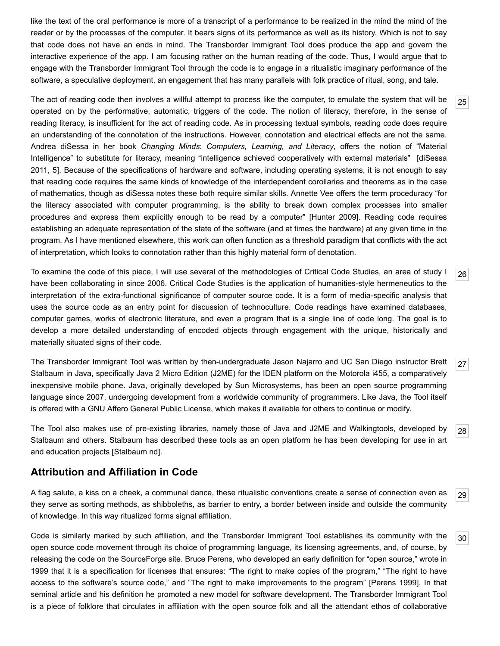like the text of the oral performance is more of a transcript of a performance to be realized in the mind the mind of the reader or by the processes of the computer. It bears signs of its performance as well as its history. Which is not to say that code does not have an ends in mind. The Transborder Immigrant Tool does produce the app and govern the interactive experience of the app. I am focusing rather on the human reading of the code. Thus, I would argue that to engage with the Transborder Immigrant Tool through the code is to engage in a ritualistic imaginary performance of the software, a speculative deployment, an engagement that has many parallels with folk practice of ritual, song, and tale.

<span id="page-5-2"></span>The act of reading code then involves a willful attempt to process like the computer, to emulate the system that will be operated on by the performative, automatic, triggers of the code. The notion of literacy, therefore, in the sense of reading literacy, is insufficient for the act of reading code. As in processing textual symbols, reading code does require an understanding of the connotation of the instructions. However, connotation and electrical effects are not the same. Andrea diSessa in her book *Changing Minds*: *Computers, Learning, and Literacy*, offers the notion of "Material [Intelligence" to substitute for literacy, meaning "intelligence achieved cooperatively with external materials" \[diSessa](#page-14-10) 2011, 5]. Because of the specifications of hardware and software, including operating systems, it is not enough to say that reading code requires the same kinds of knowledge of the interdependent corollaries and theorems as in the case of mathematics, though as diSessa notes these both require similar skills. Annette Vee offers the term proceduracy "for the literacy associated with computer programming, is the ability to break down complex processes into smaller procedures and express them explicitly enough to be read by a computer" [[Hunter 2009\]](#page-14-11). Reading code requires establishing an adequate representation of the state of the software (and at times the hardware) at any given time in the program. As I have mentioned elsewhere, this work can often function as a threshold paradigm that conflicts with the act of interpretation, which looks to connotation rather than this highly material form of denotation.

<span id="page-5-3"></span>To examine the code of this piece, I will use several of the methodologies of Critical Code Studies, an area of study I have been collaborating in since 2006. Critical Code Studies is the application of humanities-style hermeneutics to the interpretation of the extra-functional significance of computer source code. It is a form of media-specific analysis that uses the source code as an entry point for discussion of technoculture. Code readings have examined databases, computer games, works of electronic literature, and even a program that is a single line of code long. The goal is to develop a more detailed understanding of encoded objects through engagement with the unique, historically and materially situated signs of their code.

<span id="page-5-4"></span>The Transborder Immigrant Tool was written by then-undergraduate Jason Najarro and UC San Diego instructor Brett Stalbaum in Java, specifically Java 2 Micro Edition (J2ME) for the IDEN platform on the Motorola i455, a comparatively inexpensive mobile phone. Java, originally developed by Sun Microsystems, has been an open source programming language since 2007, undergoing development from a worldwide community of programmers. Like Java, the Tool itself is offered with a GNU Affero General Public License, which makes it available for others to continue or modify.

<span id="page-5-5"></span>The Tool also makes use of pre-existing libraries, namely those of Java and J2ME and Walkingtools, developed by Stalbaum and others. Stalbaum has described these tools as an open platform he has been developing for use in art and education projects [[Stalbaum nd\]](#page-14-2).

## **Attribution and Affiliation in Code**

<span id="page-5-0"></span>A flag salute, a kiss on a cheek, a communal dance, these ritualistic conventions create a sense of connection even as they serve as sorting methods, as shibboleths, as barrier to entry, a border between inside and outside the community of knowledge. In this way ritualized forms signal affiliation.

<span id="page-5-1"></span>Code is similarly marked by such affiliation, and the Transborder Immigrant Tool establishes its community with the open source code movement through its choice of programming language, its licensing agreements, and, of course, by releasing the code on the SourceForge site. Bruce Perens, who developed an early definition for "open source," wrote in 1999 that it is a specification for licenses that ensures: "The right to make copies of the program," "The right to have access to the software's source code," and "The right to make improvements to the program" [[Perens 1999](#page-14-12)]. In that seminal article and his definition he promoted a new model for software development. The Transborder Immigrant Tool is a piece of folklore that circulates in affiliation with the open source folk and all the attendant ethos of collaborative

[25](#page-5-2)

[26](#page-5-3)

[27](#page-5-4)

[29](#page-5-0)

[28](#page-5-5)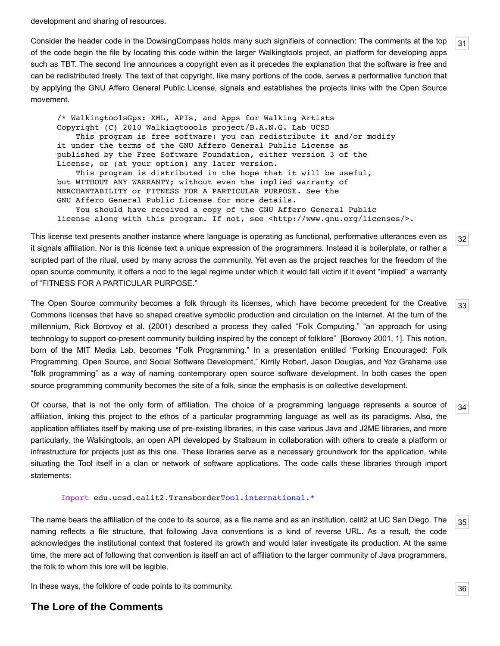development and sharing of resources.

<span id="page-6-0"></span>Consider the header code in the DowsingCompass holds many such signifiers of connection: The comments at the top of the code begin the file by locating this code within the larger Walkingtools project, an platform for developing apps such as TBT. The second line announces a copyright even as it precedes the explanation that the software is free and can be redistributed freely. The text of that copyright, like many portions of the code, serves a performative function that by applying the GNU Affero General Public License, signals and establishes the projects links with the Open Source movement.

/\* WalkingtoolsGpx: XML, APIs, and Apps for Walking Artists Copyright (C) 2010 Walkingtoools project/B.A.N.G. Lab UCSD This program is free software: you can redistribute it and/or modify it under the terms of the GNU Affero General Public License as published by the Free Software Foundation, either version 3 of the License, or (at your option) any later version. This program is distributed in the hope that it will be useful, but WITHOUT ANY WARRANTY; without even the implied warranty of MERCHANTABILITY or FITNESS FOR A PARTICULAR PURPOSE. See the GNU Affero General Public License for more details. You should have received a copy of the GNU Affero General Public license along with this program. If not, see <http://www.gnu.org/licenses/>.

<span id="page-6-1"></span>This license text presents another instance where language is operating as functional, performative utterances even as it signals affiliation. Nor is this license text a unique expression of the programmers. Instead it is boilerplate, or rather a scripted part of the ritual, used by many across the community. Yet even as the project reaches for the freedom of the open source community, it offers a nod to the legal regime under which it would fall victim if it event "implied" a warranty of "FITNESS FOR A PARTICULAR PURPOSE."

<span id="page-6-2"></span>The Open Source community becomes a folk through its licenses, which have become precedent for the Creative Commons licenses that have so shaped creative symbolic production and circulation on the Internet. At the turn of the millennium, Rick Borovoy et al. (2001) described a process they called "Folk Computing," "an approach for using technology to support co-present community building inspired by the concept of folklore" [[Borovoy 2001](#page-14-13), 1]. This notion, born of the MIT Media Lab, becomes "Folk Programming." In a presentation entitled "Forking Encouraged: Folk Programming, Open Source, and Social Software Development," Kirrily Robert, Jason Douglas, and Yoz Grahame use "folk programming" as a way of naming contemporary open source software development. In both cases the open source programming community becomes the site of a folk, since the emphasis is on collective development.

<span id="page-6-3"></span>Of course, that is not the only form of affiliation. The choice of a programming language represents a source of affiliation, linking this project to the ethos of a particular programming language as well as its paradigms. Also, the application affiliates itself by making use of pre-existing libraries, in this case various Java and J2ME libraries, and more particularly, the Walkingtools, an open API developed by Stalbaum in collaboration with others to create a platform or infrastructure for projects just as this one. These libraries serve as a necessary groundwork for the application, while situating the Tool itself in a clan or network of software applications. The code calls these libraries through import statements:

#### Import edu.ucsd.calit2.TransborderTool.international.\*

<span id="page-6-4"></span>The name bears the affiliation of the code to its source, as a file name and as an institution, calit2 at UC San Diego. The naming reflects a file structure, that following Java conventions is a kind of reverse URL. As a result, the code acknowledges the institutional context that fostered its growth and would later investigate its production. At the same time, the mere act of following that convention is itself an act of affiliation to the larger community of Java programmers, the folk to whom this lore will be legible.

<span id="page-6-5"></span>In these ways, the folklore of code points to its community.

### **The Lore of the Comments**

[31](#page-6-0)

[32](#page-6-1)

[33](#page-6-2)

[34](#page-6-3)

[35](#page-6-4)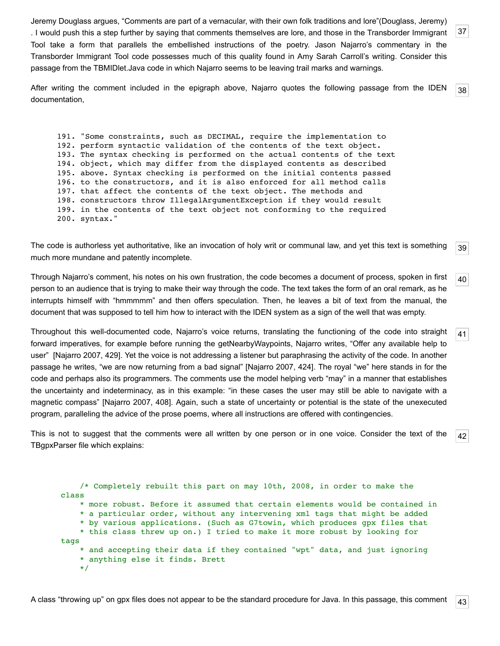<span id="page-7-0"></span>Jeremy Douglass argues, "Comments are part of a vernacular, with their own folk traditions and lore"(Douglass, Jeremy) . I would push this a step further by saying that comments themselves are lore, and those in the Transborder Immigrant Tool take a form that parallels the embellished instructions of the poetry. Jason Najarro's commentary in the Transborder Immigrant Tool code possesses much of this quality found in Amy Sarah Carroll's writing. Consider this passage from the TBMIDlet.Java code in which Najarro seems to be leaving trail marks and warnings.

<span id="page-7-1"></span>[38](#page-7-1) After writing the comment included in the epigraph above, Najarro quotes the following passage from the IDEN documentation,

191. "Some constraints, such as DECIMAL, require the implementation to 192. perform syntactic validation of the contents of the text object. 193. The syntax checking is performed on the actual contents of the text 194. object, which may differ from the displayed contents as described 195. above. Syntax checking is performed on the initial contents passed 196. to the constructors, and it is also enforced for all method calls 197. that affect the contents of the text object. The methods and 198. constructors throw IllegalArgumentException if they would result 199. in the contents of the text object not conforming to the required 200. syntax."

<span id="page-7-2"></span>[39](#page-7-2) The code is authorless yet authoritative, like an invocation of holy writ or communal law, and yet this text is something much more mundane and patently incomplete.

<span id="page-7-3"></span>[40](#page-7-3) Through Najarro's comment, his notes on his own frustration, the code becomes a document of process, spoken in first person to an audience that is trying to make their way through the code. The text takes the form of an oral remark, as he interrupts himself with "hmmmmm" and then offers speculation. Then, he leaves a bit of text from the manual, the document that was supposed to tell him how to interact with the IDEN system as a sign of the well that was empty.

<span id="page-7-4"></span>Throughout this well-documented code, Najarro's voice returns, translating the functioning of the code into straight forward imperatives, for example before running the getNearbyWaypoints, Najarro writes, "Offer any available help to user" [[Najarro 2007](#page-14-1), 429]. Yet the voice is not addressing a listener but paraphrasing the activity of the code. In another passage he writes, "we are now returning from a bad signal" [\[Najarro 2007](#page-14-1), 424]. The royal "we" here stands in for the code and perhaps also its programmers. The comments use the model helping verb "may" in a manner that establishes the uncertainty and indeterminacy, as in this example: "in these cases the user may still be able to navigate with a magnetic compass" [\[Najarro 2007](#page-14-1), 408]. Again, such a state of uncertainty or potential is the state of the unexecuted program, paralleling the advice of the prose poems, where all instructions are offered with contingencies.

<span id="page-7-5"></span>[42](#page-7-5) This is not to suggest that the comments were all written by one person or in one voice. Consider the text of the TBgpxParser file which explains:

<span id="page-7-6"></span> /\* Completely rebuilt this part on may 10th, 2008, in order to make the class \* more robust. Before it assumed that certain elements would be contained in \* a particular order, without any intervening xml tags that might be added \* by various applications. (Such as G7towin, which produces gpx files that \* this class threw up on.) I tried to make it more robust by looking for tags \* and accepting their data if they contained "wpt" data, and just ignoring \* anything else it finds. Brett \*/

[43](#page-7-6)

[41](#page-7-4)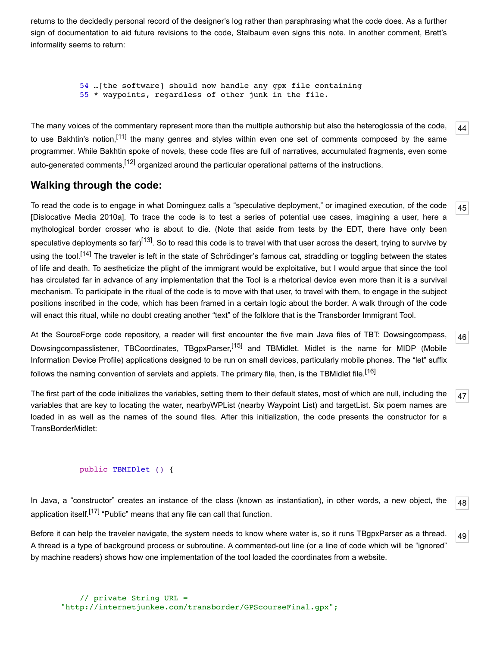returns to the decidedly personal record of the designer's log rather than paraphrasing what the code does. As a further sign of documentation to aid future revisions to the code, Stalbaum even signs this note. In another comment, Brett's informality seems to return:

```
 54 …[the software] should now handle any gpx file containing
 55 * waypoints, regardless of other junk in the file.
```
<span id="page-8-0"></span>The many voices of the commentary represent more than the multiple authorship but also the heteroglossia of the code, to use Bakhtin's notion.<sup>[11]</sup> the many genres and styles within even one set of comments composed by the same programmer. While Bakhtin spoke of novels, these code files are full of narratives, accumulated fragments, even some auto-generated comments,<sup>[12]</sup> organized around the particular operational patterns of the instructions.

## **Walking through the code:**

<span id="page-8-1"></span>To read the code is to engage in what Dominguez calls a "speculative deployment," or imagined execution, of the code [\[Dislocative Media 2010a](#page-14-14)]. To trace the code is to test a series of potential use cases, imagining a user, here a mythological border crosser who is about to die. (Note that aside from tests by the EDT, there have only been speculative deployments so far)<sup>[13]</sup>. So to read this code is to travel with that user across the desert, trying to survive by using the tool.<sup>[14]</sup> The traveler is left in the state of Schrödinger's famous cat, straddling or toggling between the states of life and death. To aestheticize the plight of the immigrant would be exploitative, but I would argue that since the tool has circulated far in advance of any implementation that the Tool is a rhetorical device even more than it is a survival mechanism. To participate in the ritual of the code is to move with that user, to travel with them, to engage in the subject positions inscribed in the code, which has been framed in a certain logic about the border. A walk through of the code will enact this ritual, while no doubt creating another "text" of the folklore that is the Transborder Immigrant Tool.

<span id="page-8-2"></span>At the SourceForge code repository, a reader will first encounter the five main Java files of TBT: Dowsingcompass, Dowsingcompasslistener, TBCoordinates, TBgpxParser,<sup>[\[15\]](#page-13-14)</sup> and TBMidlet. Midlet is the name for MIDP (Mobile Information Device Profile) applications designed to be run on small devices, particularly mobile phones. The "let" suffix follows the naming convention of servlets and applets. The primary file, then, is the TBMidlet file.<sup>[16]</sup>

<span id="page-8-3"></span>The first part of the code initializes the variables, setting them to their default states, most of which are null, including the variables that are key to locating the water, nearbyWPList (nearby Waypoint List) and targetList. Six poem names are loaded in as well as the names of the sound files. After this initialization, the code presents the constructor for a TransBorderMidlet:

#### public TBMIDlet () {

<span id="page-8-4"></span>[48](#page-8-4) In Java, a "constructor" creates an instance of the class (known as instantiation), in other words, a new object, the application itself.<sup>[\[17\]](#page-13-16)</sup> "Public" means that any file can call that function.

<span id="page-8-5"></span>[49](#page-8-5) Before it can help the traveler navigate, the system needs to know where water is, so it runs TBgpxParser as a thread. A thread is a type of background process or subroutine. A commented-out line (or a line of code which will be "ignored" by machine readers) shows how one implementation of the tool loaded the coordinates from a website.

[45](#page-8-1)

[46](#page-8-2)

[47](#page-8-3)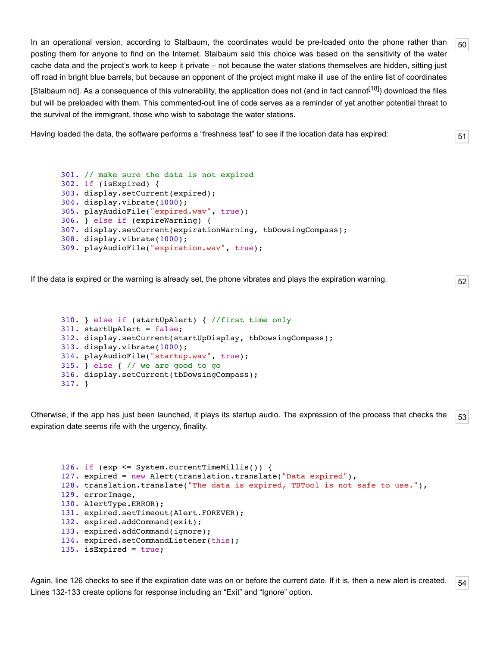<span id="page-9-0"></span>In an operational version, according to Stalbaum, the coordinates would be pre-loaded onto the phone rather than posting them for anyone to find on the Internet. Stalbaum said this choice was based on the sensitivity of the water cache data and the project's work to keep it private – not because the water stations themselves are hidden, sitting just off road in bright blue barrels, but because an opponent of the project might make ill use of the entire list of coordinates [\[Stalbaum nd](#page-14-2)]. As a consequence of this vulnerability, the application does not (and in fact cannot<sup>[18]</sup>) download the files but will be preloaded with them. This commented-out line of code serves as a reminder of yet another potential threat to the survival of the immigrant, those who wish to sabotage the water stations.

<span id="page-9-1"></span>Having loaded the data, the software performs a "freshness test" to see if the location data has expired:

```
301. // make sure the data is not expired
302. if (isExpired) {
303. display.setCurrent(expired);
304. display.vibrate(1000);
305. playAudioFile("expired.wav", true);
306. } else if (expireWarning) {
307. display.setCurrent(expirationWarning, tbDowsingCompass);
308. display.vibrate(1000);
309. playAudioFile("expiration.wav", true);
```
<span id="page-9-2"></span>If the data is expired or the warning is already set, the phone vibrates and plays the expiration warning.

```
310. } else if (startUpAlert) { //first time only
311. startUpAlert = false;
312. display.setCurrent(startUpDisplay, tbDowsingCompass);
313. display.vibrate(1000);
314. playAudioFile("startup.wav", true);
315. } else { // we are good to go
316. display.setCurrent(tbDowsingCompass);
317. }
```
<span id="page-9-3"></span>[53](#page-9-3) Otherwise, if the app has just been launched, it plays its startup audio. The expression of the process that checks the expiration date seems rife with the urgency, finality.

```
126. if (exp <= System.currentTimeMillis()) {
127. expired = new Alert(translation.translate("Data expired"),
128. translation.translate("The data is expired, TBTool is not safe to use."),
129. errorImage,
130. AlertType.ERROR);
131. expired.setTimeout(Alert.FOREVER);
132. expired.addCommand(exit);
133. expired.addCommand(ignore);
134. expired.setCommandListener(this);
135. isExpired = true;
```
<span id="page-9-4"></span>[54](#page-9-4) Again, line 126 checks to see if the expiration date was on or before the current date. If it is, then a new alert is created. Lines 132-133 create options for response including an "Exit" and "Ignore" option.

```
51
```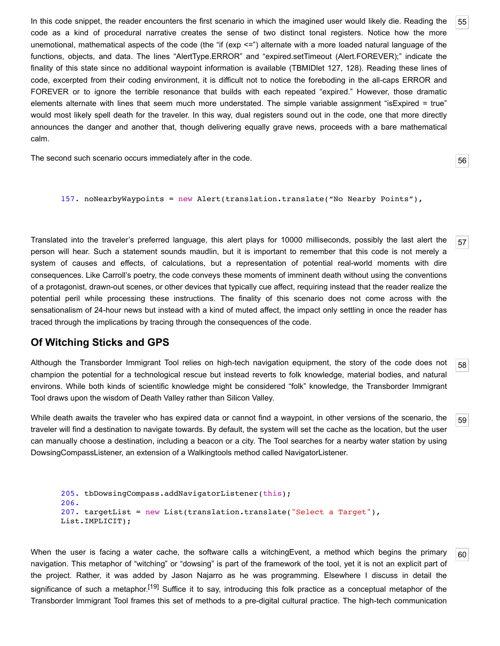<span id="page-10-0"></span>In this code snippet, the reader encounters the first scenario in which the imagined user would likely die. Reading the code as a kind of procedural narrative creates the sense of two distinct tonal registers. Notice how the more unemotional, mathematical aspects of the code (the "if (exp <=") alternate with a more loaded natural language of the functions, objects, and data. The lines "AlertType.ERROR" and "expired.setTimeout (Alert.FOREVER);" indicate the finality of this state since no additional waypoint information is available (TBMIDlet 127, 128). Reading these lines of code, excerpted from their coding environment, it is difficult not to notice the foreboding in the all-caps ERROR and FOREVER or to ignore the terrible resonance that builds with each repeated "expired." However, those dramatic elements alternate with lines that seem much more understated. The simple variable assignment "isExpired = true" would most likely spell death for the traveler. In this way, dual registers sound out in the code, one that more directly announces the danger and another that, though delivering equally grave news, proceeds with a bare mathematical calm.

<span id="page-10-1"></span>The second such scenario occurs immediately after in the code.

```
157. noNearbyWaypoints = new Alert(translation.translate("No Nearby Points"),
```
<span id="page-10-2"></span>Translated into the traveler's preferred language, this alert plays for 10000 milliseconds, possibly the last alert the person will hear. Such a statement sounds maudlin, but it is important to remember that this code is not merely a system of causes and effects, of calculations, but a representation of potential real-world moments with dire consequences. Like Carroll's poetry, the code conveys these moments of imminent death without using the conventions of a protagonist, drawn-out scenes, or other devices that typically cue affect, requiring instead that the reader realize the potential peril while processing these instructions. The finality of this scenario does not come across with the sensationalism of 24-hour news but instead with a kind of muted affect, the impact only settling in once the reader has traced through the implications by tracing through the consequences of the code.

## **Of Witching Sticks and GPS**

<span id="page-10-3"></span>[58](#page-10-3) Although the Transborder Immigrant Tool relies on high-tech navigation equipment, the story of the code does not champion the potential for a technological rescue but instead reverts to folk knowledge, material bodies, and natural environs. While both kinds of scientific knowledge might be considered "folk" knowledge, the Transborder Immigrant Tool draws upon the wisdom of Death Valley rather than Silicon Valley.

<span id="page-10-4"></span>While death awaits the traveler who has expired data or cannot find a waypoint, in other versions of the scenario, the traveler will find a destination to navigate towards. By default, the system will set the cache as the location, but the user can manually choose a destination, including a beacon or a city. The Tool searches for a nearby water station by using DowsingCompassListener, an extension of a Walkingtools method called NavigatorListener.

```
205. tbDowsingCompass.addNavigatorListener(this);
206.
207. targetList = new List(translation.translate("Select a Target"),
List.IMPLICIT);
```
<span id="page-10-5"></span>When the user is facing a water cache, the software calls a witchingEvent, a method which begins the primary navigation. This metaphor of "witching" or "dowsing" is part of the framework of the tool, yet it is not an explicit part of the project. Rather, it was added by Jason Najarro as he was programming. Elsewhere I discuss in detail the significance of such a metaphor.<sup>[19]</sup> Suffice it to say, introducing this folk practice as a conceptual metaphor of the Transborder Immigrant Tool frames this set of methods to a pre-digital cultural practice. The high-tech communication

[59](#page-10-4)

[60](#page-10-5)

[55](#page-10-0)

[56](#page-10-1)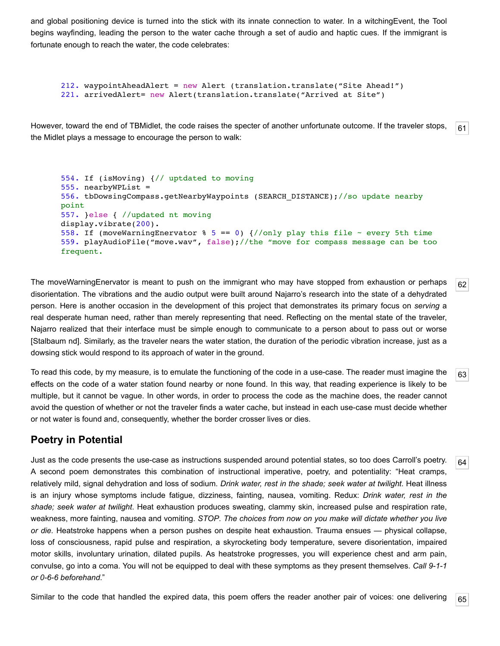and global positioning device is turned into the stick with its innate connection to water. In a witchingEvent, the Tool begins wayfinding, leading the person to the water cache through a set of audio and haptic cues. If the immigrant is fortunate enough to reach the water, the code celebrates:

```
212. waypointAheadAlert = new Alert (translation.translate("Site Ahead!") 
221. arrivedAlert= new Alert(translation.translate("Arrived at Site")
```
<span id="page-11-0"></span>[61](#page-11-0) However, toward the end of TBMidlet, the code raises the specter of another unfortunate outcome. If the traveler stops, the Midlet plays a message to encourage the person to walk:

```
554. If (isMoving) {// uptdated to moving
555. nearbyWPList =
556. tbDowsingCompass.getNearbyWaypoints (SEARCH_DISTANCE);//so update nearby
point
557. }else { //updated nt moving
display.vibrate(200). 
558. If (moveWarningEnervator \frac{1}{6} 5 == 0) {//only play this file ~ every 5th time
559. playAudioFile("move.wav", false);//the "move for compass message can be too
frequent.
```
<span id="page-11-1"></span>The moveWarningEnervator is meant to push on the immigrant who may have stopped from exhaustion or perhaps disorientation. The vibrations and the audio output were built around Najarro's research into the state of a dehydrated person. Here is another occasion in the development of this project that demonstrates its primary focus on *serving* a real desperate human need, rather than merely representing that need. Reflecting on the mental state of the traveler, Najarro realized that their interface must be simple enough to communicate to a person about to pass out or worse [\[Stalbaum nd\]](#page-14-2). Similarly, as the traveler nears the water station, the duration of the periodic vibration increase, just as a dowsing stick would respond to its approach of water in the ground.

[62](#page-11-1)

[64](#page-11-3)

<span id="page-11-2"></span>[63](#page-11-2) To read this code, by my measure, is to emulate the functioning of the code in a use-case. The reader must imagine the effects on the code of a water station found nearby or none found. In this way, that reading experience is likely to be multiple, but it cannot be vague. In other words, in order to process the code as the machine does, the reader cannot avoid the question of whether or not the traveler finds a water cache, but instead in each use-case must decide whether or not water is found and, consequently, whether the border crosser lives or dies.

# **Poetry in Potential**

<span id="page-11-3"></span>Just as the code presents the use-case as instructions suspended around potential states, so too does Carroll's poetry. A second poem demonstrates this combination of instructional imperative, poetry, and potentiality: "Heat cramps, relatively mild, signal dehydration and loss of sodium. *Drink water, rest in the shade; seek water at twilight*. Heat illness is an injury whose symptoms include fatigue, dizziness, fainting, nausea, vomiting. Redux: *Drink water, rest in the shade; seek water at twilight*. Heat exhaustion produces sweating, clammy skin, increased pulse and respiration rate, weakness, more fainting, nausea and vomiting. *STOP*. *The choices from now on you make will dictate whether you live or die.* Heatstroke happens when a person pushes on despite heat exhaustion. Trauma ensues — physical collapse, loss of consciousness, rapid pulse and respiration, a skyrocketing body temperature, severe disorientation, impaired motor skills, involuntary urination, dilated pupils. As heatstroke progresses, you will experience chest and arm pain, convulse, go into a coma. You will not be equipped to deal with these symptoms as they present themselves. *Call 9-1-1 or 0-6-6 beforehand*."

<span id="page-11-4"></span>[65](#page-11-4) Similar to the code that handled the expired data, this poem offers the reader another pair of voices: one delivering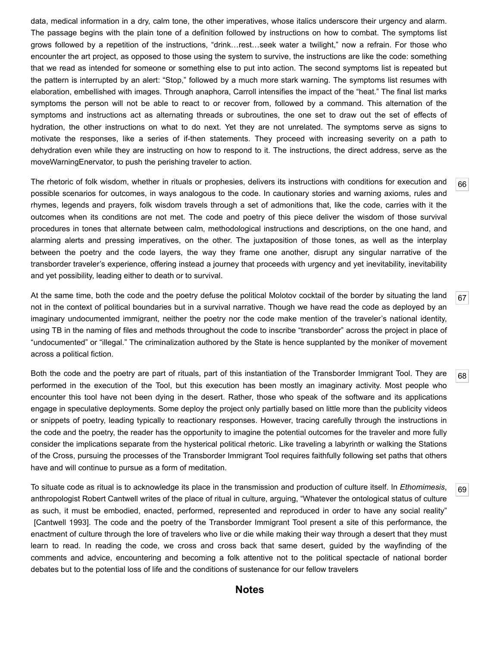data, medical information in a dry, calm tone, the other imperatives, whose italics underscore their urgency and alarm. The passage begins with the plain tone of a definition followed by instructions on how to combat. The symptoms list grows followed by a repetition of the instructions, "drink…rest…seek water a twilight," now a refrain. For those who encounter the art project, as opposed to those using the system to survive, the instructions are like the code: something that we read as intended for someone or something else to put into action. The second symptoms list is repeated but the pattern is interrupted by an alert: "Stop," followed by a much more stark warning. The symptoms list resumes with elaboration, embellished with images. Through anaphora, Carroll intensifies the impact of the "heat." The final list marks symptoms the person will not be able to react to or recover from, followed by a command. This alternation of the symptoms and instructions act as alternating threads or subroutines, the one set to draw out the set of effects of hydration, the other instructions on what to do next. Yet they are not unrelated. The symptoms serve as signs to motivate the responses, like a series of if-then statements. They proceed with increasing severity on a path to dehydration even while they are instructing on how to respond to it. The instructions, the direct address, serve as the moveWarningEnervator, to push the perishing traveler to action.

<span id="page-12-0"></span>The rhetoric of folk wisdom, whether in rituals or prophesies, delivers its instructions with conditions for execution and possible scenarios for outcomes, in ways analogous to the code. In cautionary stories and warning axioms, rules and rhymes, legends and prayers, folk wisdom travels through a set of admonitions that, like the code, carries with it the outcomes when its conditions are not met. The code and poetry of this piece deliver the wisdom of those survival procedures in tones that alternate between calm, methodological instructions and descriptions, on the one hand, and alarming alerts and pressing imperatives, on the other. The juxtaposition of those tones, as well as the interplay between the poetry and the code layers, the way they frame one another, disrupt any singular narrative of the transborder traveler's experience, offering instead a journey that proceeds with urgency and yet inevitability, inevitability and yet possibility, leading either to death or to survival.

[66](#page-12-0)

[69](#page-12-3)

<span id="page-12-1"></span>[67](#page-12-1) At the same time, both the code and the poetry defuse the political Molotov cocktail of the border by situating the land not in the context of political boundaries but in a survival narrative. Though we have read the code as deployed by an imaginary undocumented immigrant, neither the poetry nor the code make mention of the traveler's national identity, using TB in the naming of files and methods throughout the code to inscribe "transborder" across the project in place of "undocumented" or "illegal." The criminalization authored by the State is hence supplanted by the moniker of movement across a political fiction.

<span id="page-12-2"></span>[68](#page-12-2) Both the code and the poetry are part of rituals, part of this instantiation of the Transborder Immigrant Tool. They are performed in the execution of the Tool, but this execution has been mostly an imaginary activity. Most people who encounter this tool have not been dying in the desert. Rather, those who speak of the software and its applications engage in speculative deployments. Some deploy the project only partially based on little more than the publicity videos or snippets of poetry, leading typically to reactionary responses. However, tracing carefully through the instructions in the code and the poetry, the reader has the opportunity to imagine the potential outcomes for the traveler and more fully consider the implications separate from the hysterical political rhetoric. Like traveling a labyrinth or walking the Stations of the Cross, pursuing the processes of the Transborder Immigrant Tool requires faithfully following set paths that others have and will continue to pursue as a form of meditation.

<span id="page-12-3"></span>To situate code as ritual is to acknowledge its place in the transmission and production of culture itself. In *Ethomimesis*, anthropologist Robert Cantwell writes of the place of ritual in culture, arguing, "Whatever the ontological status of culture as such, it must be embodied, enacted, performed, represented and reproduced in order to have any social reality" [\[Cantwell 1993](#page-14-16)]. The code and the poetry of the Transborder Immigrant Tool present a site of this performance, the enactment of culture through the lore of travelers who live or die while making their way through a desert that they must learn to read. In reading the code, we cross and cross back that same desert, guided by the wayfinding of the comments and advice, encountering and becoming a folk attentive not to the political spectacle of national border debates but to the potential loss of life and the conditions of sustenance for our fellow travelers

#### **Notes**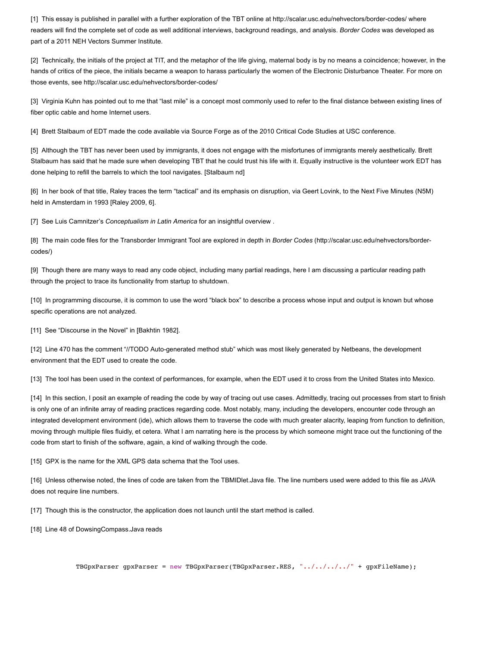<span id="page-13-0"></span>[1] This essay is published in parallel with a further exploration of the TBT online at<http://scalar.usc.edu/nehvectors/border-codes/> where readers will find the complete set of code as well additional interviews, background readings, and analysis. *Border Codes* was developed as part of a 2011 NEH Vectors Summer Institute.

<span id="page-13-1"></span>[2] Technically, the initials of the project at TIT, and the metaphor of the life giving, maternal body is by no means a coincidence; however, in the hands of critics of the piece, the initials became a weapon to harass particularly the women of the Electronic Disturbance Theater. For more on those events, see <http://scalar.usc.edu/nehvectors/border-codes/>

<span id="page-13-2"></span>[3] Virginia Kuhn has pointed out to me that "last mile" is a concept most commonly used to refer to the final distance between existing lines of fiber optic cable and home Internet users.

<span id="page-13-3"></span>[4] Brett Stalbaum of EDT made the code available via Source Forge as of the 2010 Critical Code Studies at USC conference.

<span id="page-13-4"></span>[5] Although the TBT has never been used by immigrants, it does not engage with the misfortunes of immigrants merely aesthetically. Brett Stalbaum has said that he made sure when developing TBT that he could trust his life with it. Equally instructive is the volunteer work EDT has done helping to refill the barrels to which the tool navigates. [[Stalbaum nd](#page-14-2)]

<span id="page-13-5"></span>[6] In her book of that title, Raley traces the term "tactical" and its emphasis on disruption, via Geert Lovink, to the Next Five Minutes (N5M) held in Amsterdam in 1993 [\[Raley 2009,](#page-14-5) 6].

<span id="page-13-6"></span>[7] See Luis Camnitzer's *Conceptualism in Latin America* for an insightful overview .

<span id="page-13-7"></span>[\[8\] The main code files for the Transborder Immigrant Tool are explored in depth in](http://scalar.usc.edu/nehvectors/border-codes/) *Border Codes* (http://scalar.usc.edu/nehvectors/bordercodes/)

<span id="page-13-8"></span>[9] Though there are many ways to read any code object, including many partial readings, here I am discussing a particular reading path through the project to trace its functionality from startup to shutdown.

<span id="page-13-9"></span>[10] In programming discourse, it is common to use the word "black box" to describe a process whose input and output is known but whose specific operations are not analyzed.

<span id="page-13-10"></span>[11] See "Discourse in the Novel" in [[Bakhtin 1982](#page-14-17)].

<span id="page-13-11"></span>[12] Line 470 has the comment "//TODO Auto-generated method stub" which was most likely generated by Netbeans, the development environment that the EDT used to create the code.

<span id="page-13-12"></span>[13] The tool has been used in the context of performances, for example, when the EDT used it to cross from the United States into Mexico.

<span id="page-13-13"></span>[14] In this section, I posit an example of reading the code by way of tracing out use cases. Admittedly, tracing out processes from start to finish is only one of an infinite array of reading practices regarding code. Most notably, many, including the developers, encounter code through an integrated development environment (ide), which allows them to traverse the code with much greater alacrity, leaping from function to definition, moving through multiple files fluidly, et cetera. What I am narrating here is the process by which someone might trace out the functioning of the code from start to finish of the software, again, a kind of walking through the code.

<span id="page-13-14"></span>[15] GPX is the name for the XML GPS data schema that the Tool uses.

<span id="page-13-15"></span>[16] Unless otherwise noted, the lines of code are taken from the TBMIDlet.Java file. The line numbers used were added to this file as JAVA does not require line numbers.

<span id="page-13-16"></span>[17] Though this is the constructor, the application does not launch until the start method is called.

<span id="page-13-17"></span>[18] Line 48 of DowsingCompass.Java reads

TBGpxParser gpxParser = new TBGpxParser(TBGpxParser.RES, "../../../../" + gpxFileName);